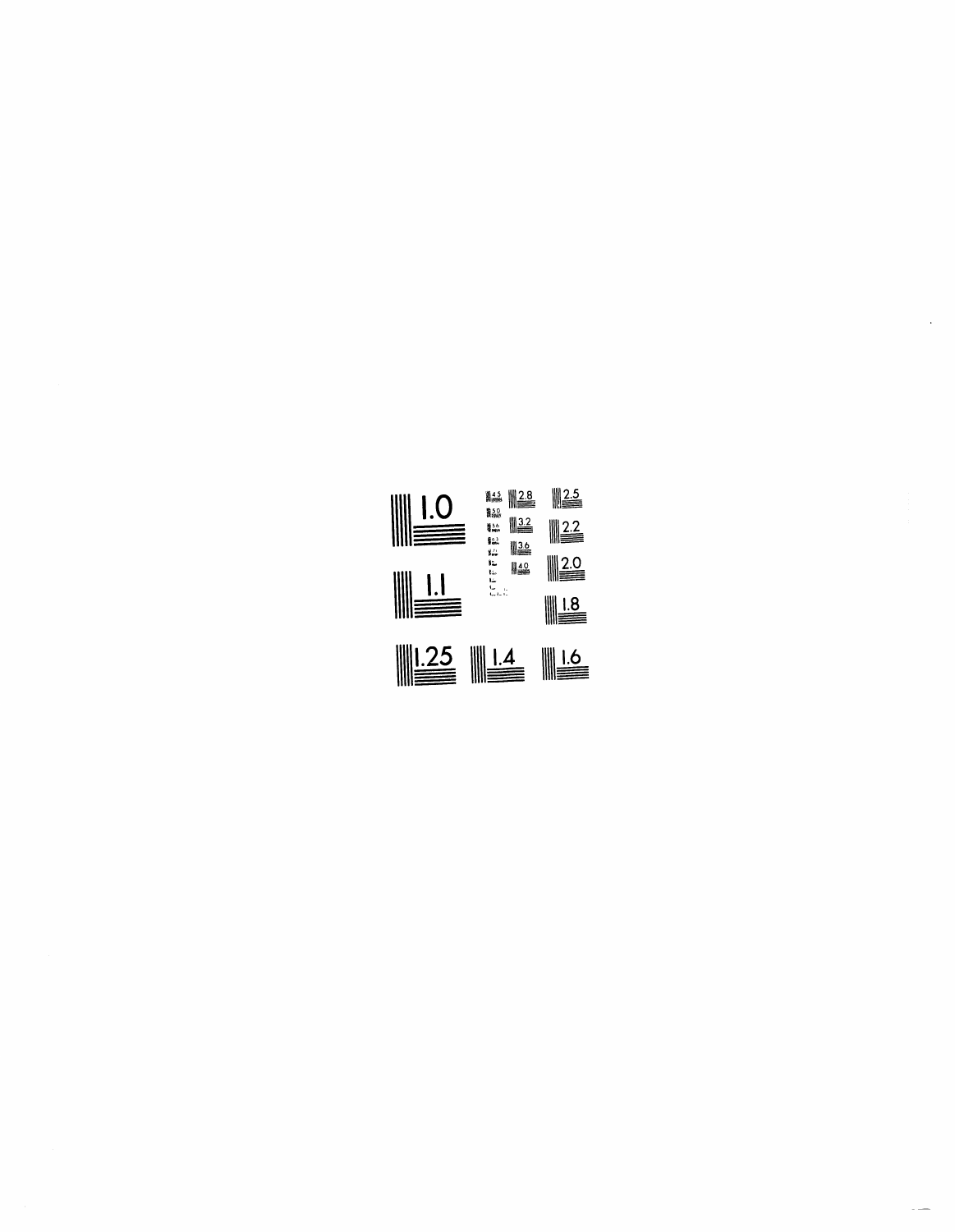| $\parallel\parallel$ 1.0                         | 145<br>$\mathbb{I}^{2.8}$<br>150<br>⊪3.2<br>ile.<br>la.<br>₩¥ | ▒<br>▒             |
|--------------------------------------------------|---------------------------------------------------------------|--------------------|
|                                                  | ¥Ω<br>h.<br>140<br>t.<br>ka<br>Santa<br>Santa Sa              |                    |
| ▓▓                                               |                                                               | $\mathbb{I}^{1.8}$ |
| $\parallel \parallel .25 \parallel \parallel .4$ |                                                               |                    |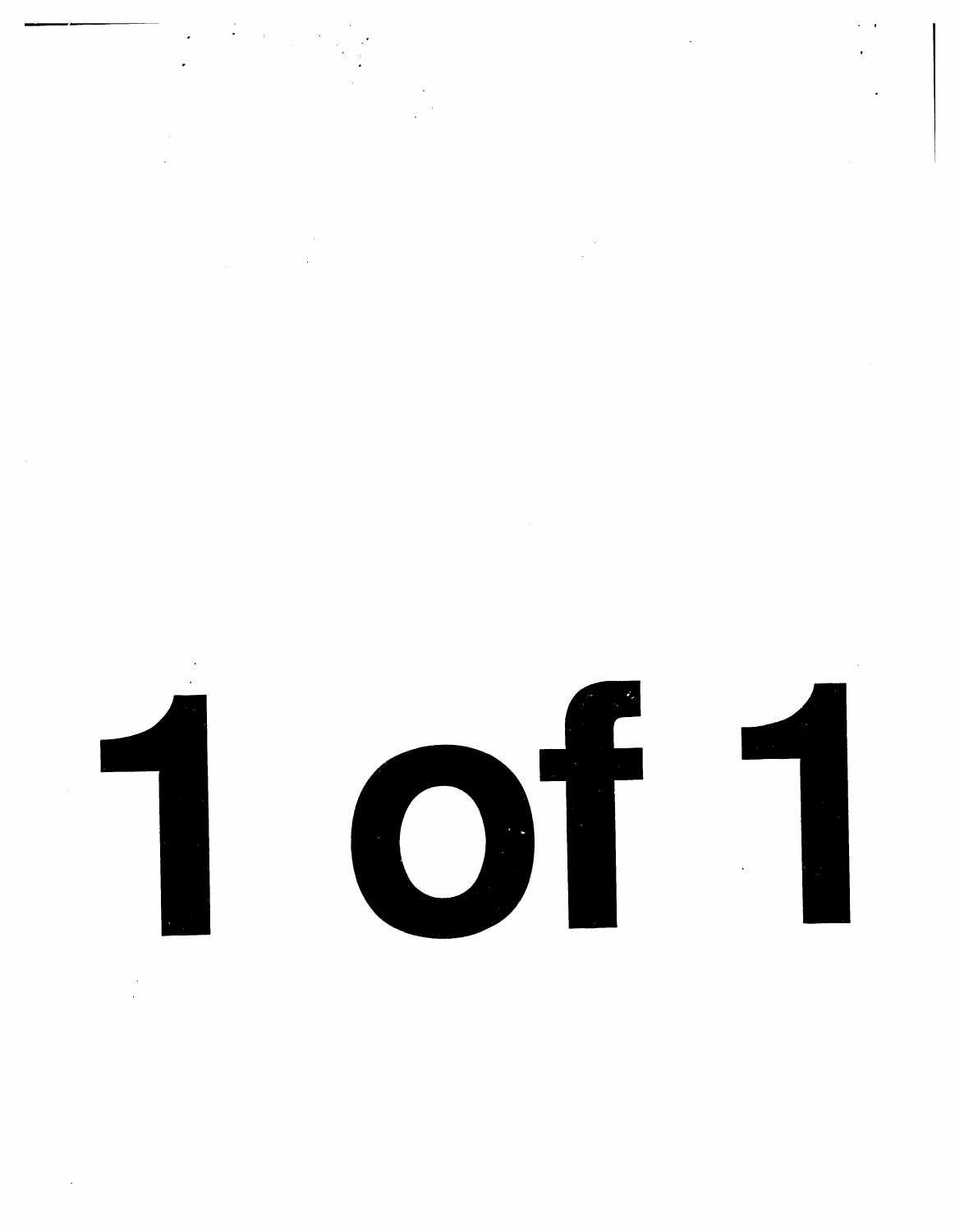$\label{eq:2.1} \frac{1}{\sqrt{2}}\int_{0}^{\infty}\frac{1}{\sqrt{2\pi}}\left(\frac{1}{\sqrt{2\pi}}\right)^{2}d\mu\left(\frac{1}{\sqrt{2\pi}}\right)\frac{d\mu}{d\mu}d\mu\left(\frac{1}{\sqrt{2\pi}}\right).$  $\label{eq:2.1} \frac{1}{\sqrt{2\pi}}\int_{\mathbb{R}^3}\frac{1}{\sqrt{2\pi}}\int_{\mathbb{R}^3}\frac{1}{\sqrt{2\pi}}\int_{\mathbb{R}^3}\frac{1}{\sqrt{2\pi}}\int_{\mathbb{R}^3}\frac{1}{\sqrt{2\pi}}\int_{\mathbb{R}^3}\frac{1}{\sqrt{2\pi}}\int_{\mathbb{R}^3}\frac{1}{\sqrt{2\pi}}\int_{\mathbb{R}^3}\frac{1}{\sqrt{2\pi}}\int_{\mathbb{R}^3}\frac{1}{\sqrt{2\pi}}\int_{\mathbb{R}^3}\frac{1$ 



 $\sim$ 

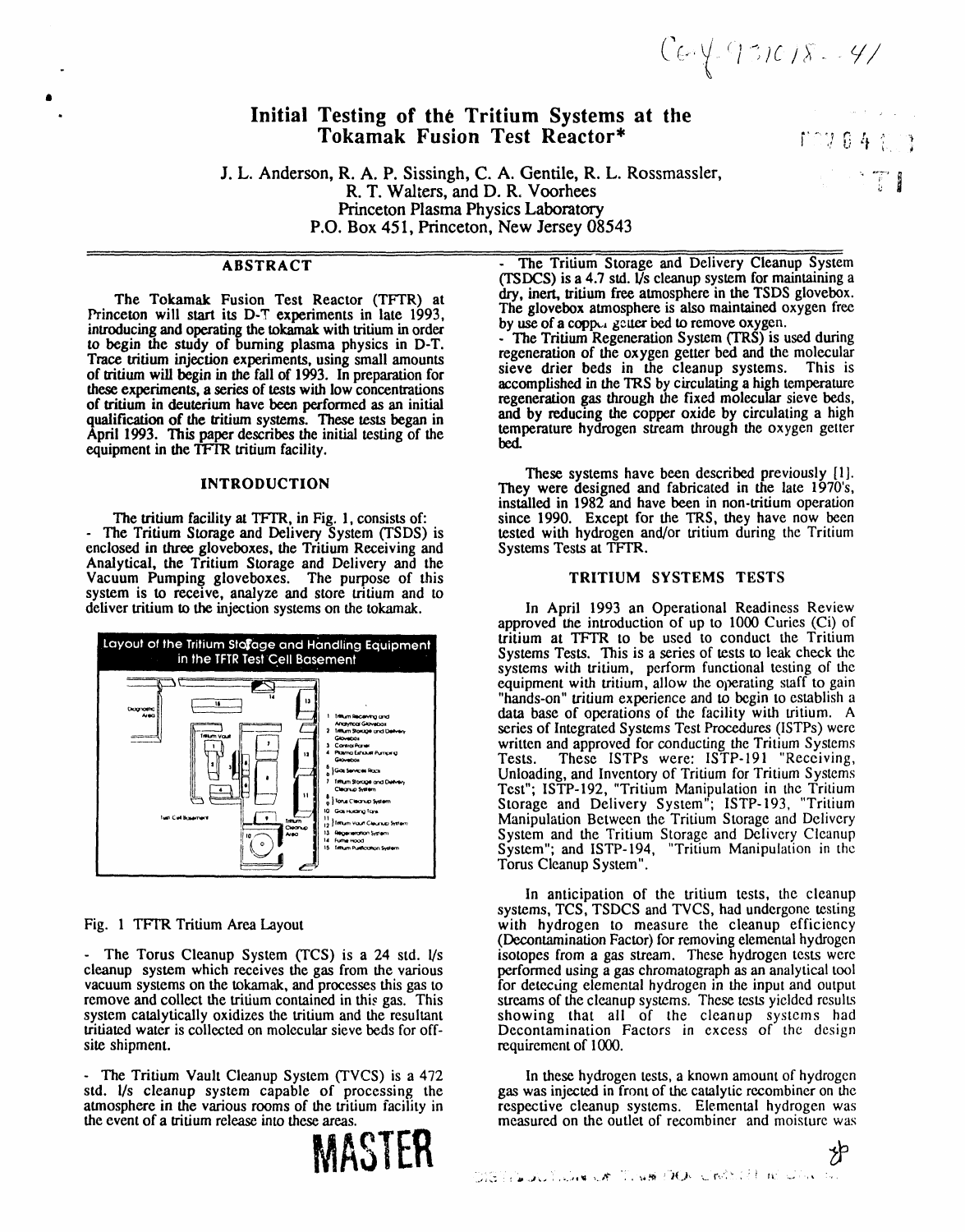$Cer\{-931018...41$ 

# **Initial Testing of the Tritium Systems at the**  $\Gamma \cap \{0\}$  **4 and**  $\Gamma \cap \{0\}$  **4 and**  $\Gamma \cap \{0\}$  **4 and**  $\Gamma \cap \{0\}$  **4 and**  $\Gamma \cap \{0\}$  **4 and**  $\Gamma \cap \{0\}$  **4 and**  $\Gamma \cap \{0\}$  **4 and**  $\Gamma \cap \{0\}$  **4 and**  $\Gamma \cap \{0\}$  **4 and**  $\Gamma \cap \{0\}$  **4**  $Tokamak$  **Fusion** Test **Reactor**\*

J**.** L**.** An**d**e**r**son, **R**. **A.** P**.** Sissingh**,** C. A**.** Gentile, **R.** L. R**o**ssmassler, \_ "*'*i\_' R**. T.** Waiters, an**d** D**.** R. Voorhees \_ Princeton Plasma Physics Laboratory P.O. Box 45I**,** Princeton**,** New Jersey 08543

i

Princeton will start its D-T experiments in late 1993,<br>introducing and operating the tokenek with tritium in order by use of a copp<sub>os</sub> getter bed to remove oxygen. introducing and operating the tokamak with tritium in order<br>to begin the study of burning plasma physics in D-T The Tritium Regeneration System (TRS) is used during to begin the *study* of burning plasma physics in D-T. Trace tritium injection experiments, using small amounts Trace tritium injection experiments, using small amounts regeneration of the oxygen getter bed and the molecular of tritium will begin in the fall of 1993. In preparation for second in the TPS by circulation of the team of these experiments, a series of tests with low concentrations<br>of tritium in deuterium have been performed as an initial regeneration gas the opener of the fixed molecular sieve qualification of the tritium systems. These tests began in the property produced the control of the oxygen getter **Ap**ril **1**993**.** This paper **d**escribe**s** the **in**itial te**s**ti**ng** o**f** the te**m**perat**u**re h**y**droge**n s**tream through the oxygen getter **equipment in the TFTR tritium facility.** bed.

enclosed in three gloveboxes, the Tritium Receiving and *A*nalytical, the Tritium Storage and Delivery and the Vacuum Pumping gloveboxes. The purpose of this TRITIUM SYSTEMS TESTS system is to receive, analyze and store tritium and to deliver tritium to the injection systems on the tokamak. In April 1993 an Operational Readiness Review



cleanup system which receives the gas from the various vacuum systems on the tokamak, and processes this gas to vacuum systems on the tokamak, and processes this gas to for detecting elemental hydrogen in the input and output remove and collect the tritium contained in this gas. This streams of the cleanup systems. These tests yield system catalytically oxidizes the tritium and the resultant showing that all of the cleanup systems had tritiated water is collected on molecular sieve beds for off-<br>Decontamination Factors in excess of the design tritiated water is collected on molecular sieve beds for off-<br>site shipment.

- The Tritium Vault Cleanup System (TVCS) is a 472 In these hydrogen tests, a known amount of hydrogen std. I/s cleanup system capable of processing the gas was injected in front of the catalytic recombiner on the std. *l/s* cleanup system capable of processing the atmosphere in the various rooms of the tritium facility in atmosphere in the various rooms of the tritium facility in respective cleanup systems. Elemental hydrogen was the event of a tritium release into these areas.



**ABSTRACT** - The Tritium Storage and Delivery Cleanup System (TSDCS) is a 4.7 std.  $\sqrt{1/2}$  cleanup system for maintaining a dry, inert, tritium free atmosphere in the TSDS glovebox. The Tokamak Fusion Test Reactor (TFTR) at dry, inert, tritium free atmosphere in the TSDS glovebox.<br>
The glovebox atmosphere is also maintained oxygen free

> accomplished in the TRS by circulating a high temperature and by reducing the copper oxide by circulating a high

These **systems** h**ave been d**e**scribed previously [1]**. **INTRODUCTION** The**y** we**r**e **d**e**signed and fabricat**ed **in t**he **late 1**9**70's**, **install**ed **in 1982 and**h**ave been in non-tritiu**m**operation** The tritium facility at TFTR, in Fig. 1, consists of:<br>The Tritium Storage and Delivery System (TSDS) is<br>tested with hydrogen and/or tritium during the Tritium<br>The Tritium Storage and Delivery System (TSDS) is tested with hydrogen and/or tritium during the Tritium Systems Tests at TFTR.

approved the introduction of up to 1000 Curies (Ci) of tritium at TFTR to be used to conduct the Tritium **Systems Tests.** This is a series of tests to leak check the systems with tritium, perform functional testing of the -\_\_ **- "**\_t equi**p**ment with triti**u**m, **a**llow the operating sta**f**f to gain "hands-on" tritium experience and to begin to establish a data base of operations of the facility with tritium. A series of Integrated Systems Test Procedures (ISTPs) were \_\_ 7--\_i7, \_ / '.... \_\_ series of Integrated Systems Test Procedures (ISTPs) were written and approved for conducting the Tritium Systems<br>Tests. These ISTPs were: ISTP-191 "Receiving, Tests. These ISTPs were: ISTP-191 "Receiving,<br>
Sometimes and Inventory of Tritium for Tritium Systems  $\frac{1}{2}$  Unloading, and Inventory of Tritium for Tritium Systems *#* Tilliam Systems **#** Tilliam Systems *#* Times *# Times are the Systems* \_*,*,\_*,*,*.,*,.*,* **T**est"; ISTP-**1**92, "**Tri**ti**u**m Manipulation in the **T**ritium of the computation were the storage and Delivery System"; ISTP-193, Tritium .... *\_*"*\_*" l */*-\_--**,***'*\_b']\_}',\_l..... **c**,.*.*.\_,.., Manipulation Between the Tritium Stor**a**ge and Delivery If the complete the system and the Tritium Storage and Delivery Cleanup <sup>1</sup><sup>th</sup>  $\blacksquare$ <sup>1</sup> System"; and ISTP-194, "Tritium Manipulation in the Torus Cleanup System".

In anticipation of the tritium tests, the cleanup systems, *T*CS, TSDCS and TVCS, had undergone testing F**i**g. 1 TFTR**T**ritium Area Layout with h**yd**rogen to measure the cleanu**p** efficiency (Decontamination Factor) for removing elemental hydrogen The Torus Cleanup System (TCS) is a 24 std. *l/s* isotopes from a gas stream. These hydrogen tests were<br>cleanup system which receives the gas from the various energormed using a gas chromatograph as an analytical tool streams of the cleanup systems. These tests yielded results showing that all of the cleanup systems had requirement of 1000.

measured on the outlet of recombiner and moisture was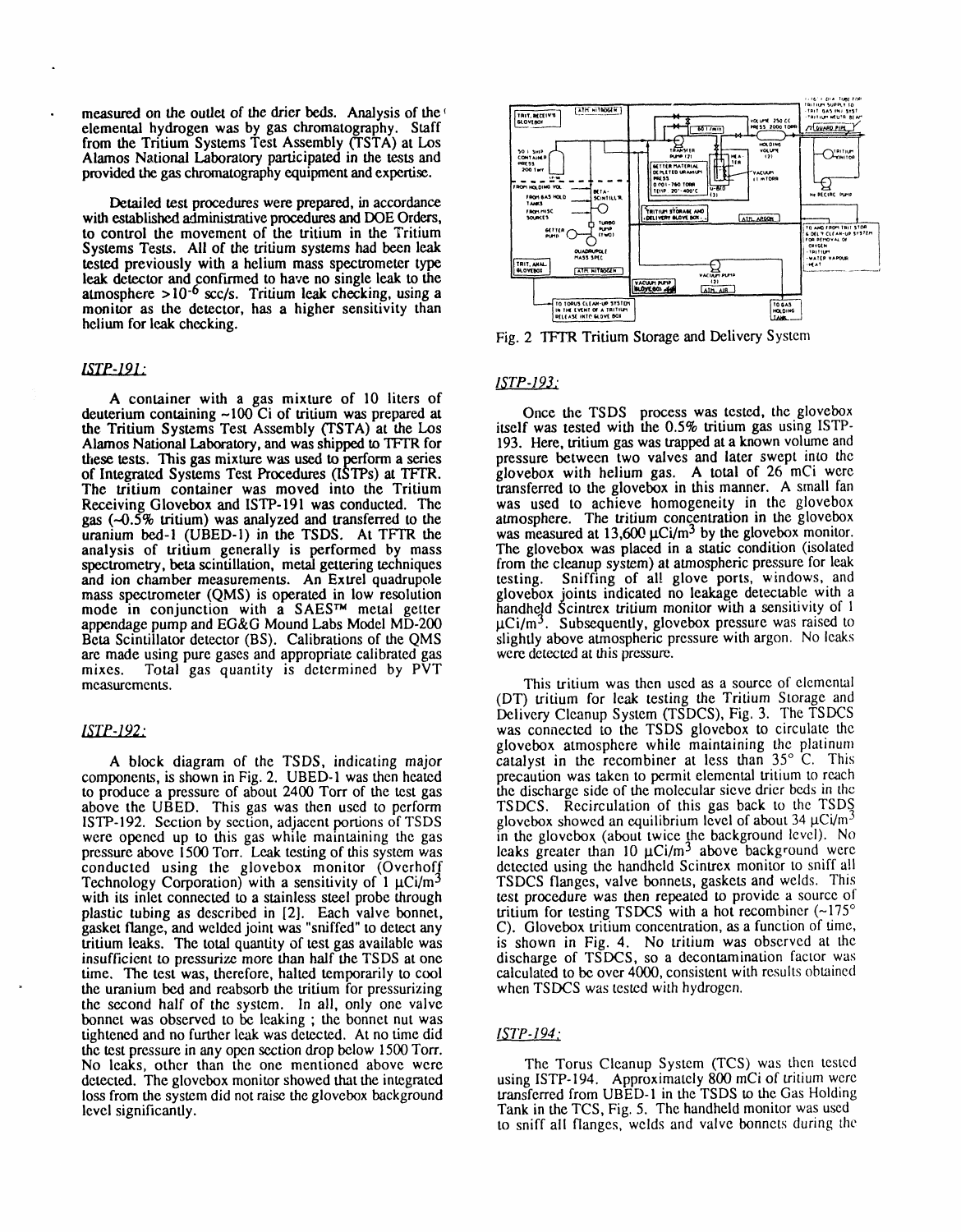measured on the outlet of the drier beds. Analysis of the elemental hydrogen was by gas chromatography. Staff from the Tritium Systems Test Assembly (TSTA) at Los Alamos National Laboratory participated in the tests and provided the gas chromatography equipment and expertise.

Detailed test procedures were prepared, in accordance with established administrative procedures and DOE Orders, to control the movement of the tritium in the Tritium Systems Tests. All of the tritium systems had been leak tested previously with a helium mass spectrometer type leak detector and confirmed to have no single leak to the atmosphere  $>10^{-6}$  scc/s. Tritium leak checking, using a monitor as the detector, has a higher sensitivity than helium for leak checking.

### **ISTP-191:**

A container with a gas mixture of 10 liters of deuterium containing  $\sim 100$  Ci of tritium was prepared at the Tritium Systems Test Assembly (TSTA) at the Los Alamos National Laboratory, and was shipped to TFTR for these tests. This gas mixture was used to perform a series of Integrated Systems Test Procedures (ISTPs) at TFTR. The tritium container was moved into the Tritium Receiving Glovebox and ISTP-191 was conducted. The gas  $(-0.5\%$  tritium) was analyzed and transferred to the uranium bed-1 (UBED-1) in the TSDS. At TFTR the analysis of tritium generally is performed by mass<br>spectrometry, beta scintillation, metal gettering techniques and ion chamber measurements. An Extrel quadrupole mass spectrometer (QMS) is operated in low resolution mode in conjunction with a SAES<sup>TM</sup> metal getter appendage pump and EG&G Mound Labs Model MD-200 Beta Scintillator detector (BS). Calibrations of the QMS are made using pure gases and appropriate calibrated gas Total gas quantity is determined by PVT mixes. measurements.

### **ISTP-192:**

A block diagram of the TSDS, indicating major components, is shown in Fig. 2. UBED-1 was then heated to produce a pressure of about 2400 Torr of the test gas above the UBED. This gas was then used to perform ISTP-192. Section by section, adjacent portions of TSDS were opened up to this gas while maintaining the gas pressure above 1500 Torr. Leak testing of this system was conducted using the glovebox monitor (Overhoff Technology Corporation) with a sensitivity of 1  $\mu$ Ci/m<sup>3</sup> with its inlet connected to a stainless steel probe through plastic tubing as described in [2]. Each valve bonnet, gasket flange, and welded joint was "sniffed" to detect any tritium leaks. The total quantity of test gas available was insufficient to pressurize more than half the TSDS at one time. The test was, therefore, halted temporarily to cool the uranium bed and reabsorb the tritium for pressurizing the second half of the system. In all, only one valve bonnet was observed to be leaking; the bonnet nut was tightened and no further leak was detected. At no time did the test pressure in any open section drop below 1500 Torr. No leaks, other than the one mentioned above were detected. The glovebox monitor showed that the integrated loss from the system did not raise the glovebox background level significantly.



Fig. 2 TFTR Tritium Storage and Delivery System

# $ISTP-193$ :

Once the TSDS process was tested, the glovebox itself was tested with the 0.5% tritium gas using ISTP-193. Here, tritium gas was trapped at a known volume and pressure between two valves and later swept into the glovebox with helium gas. A total of 26 mCi were transferred to the glovebox in this manner. A small fan was used to achieve homogeneity in the glovebox<br>atmosphere. The tritium concentration in the glovebox<br>was measured at 13,600  $\mu$ Ci/m<sup>3</sup> by the glovebox monitor. The glovebox was placed in a static condition (isolated from the cleanup system) at atmospheric pressure for leak Sniffing of all glove ports, windows, and testing. glovebox joints indicated no leakage detectable with a handheld Scintrex tritium monitor with a sensitivity of 1  $\mu$ Ci/m<sup>3</sup>. Subsequently, glovebox pressure was raised to slightly above atmospheric pressure with argon. No leaks were detected at this pressure.

This tritium was then used as a source of elemental (DT) tritium for leak testing the Tritium Storage and<br>Delivery Cleanup System (TSDCS), Fig. 3. The TSDCS was connected to the TSDS glovebox to circulate the glovebox atmosphere while maintaining the platinum catalyst in the recombiner at less than 35° C. This precaution was taken to permit elemental tritium to reach the discharge side of the molecular sieve drier beds in the TSDCS. Recirculation of this gas back to the TSDS glovebox showed an equilibrium level of about 34 µCi/min the glovebox (about twice the background level). No<br>leaks greater than 10  $\mu$ Ci/m<sup>3</sup> above background were detected using the handheld Scintrex monitor to sniff all TSDCS flanges, valve bonnets, gaskets and welds. This test procedure was then repeated to provide a source of tritium for testing TSDCS with a hot recombiner  $(-175^\circ)$ C). Glovebox tritium concentration, as a function of time, is shown in Fig. 4. No tritium was observed at the discharge of TSDCS, so a decontamination factor was calculated to be over 4000, consistent with results obtained when TSDCS was tested with hydrogen.

### $ISTP-194$ :

The Torus Cleanup System (TCS) was then tested using ISTP-194. Approximately 800 mCi of tritium were transferred from UBED-1 in the TSDS to the Gas Holding Tank in the TCS, Fig. 5. The handheld monitor was used to sniff all flanges, welds and valve bonnets during the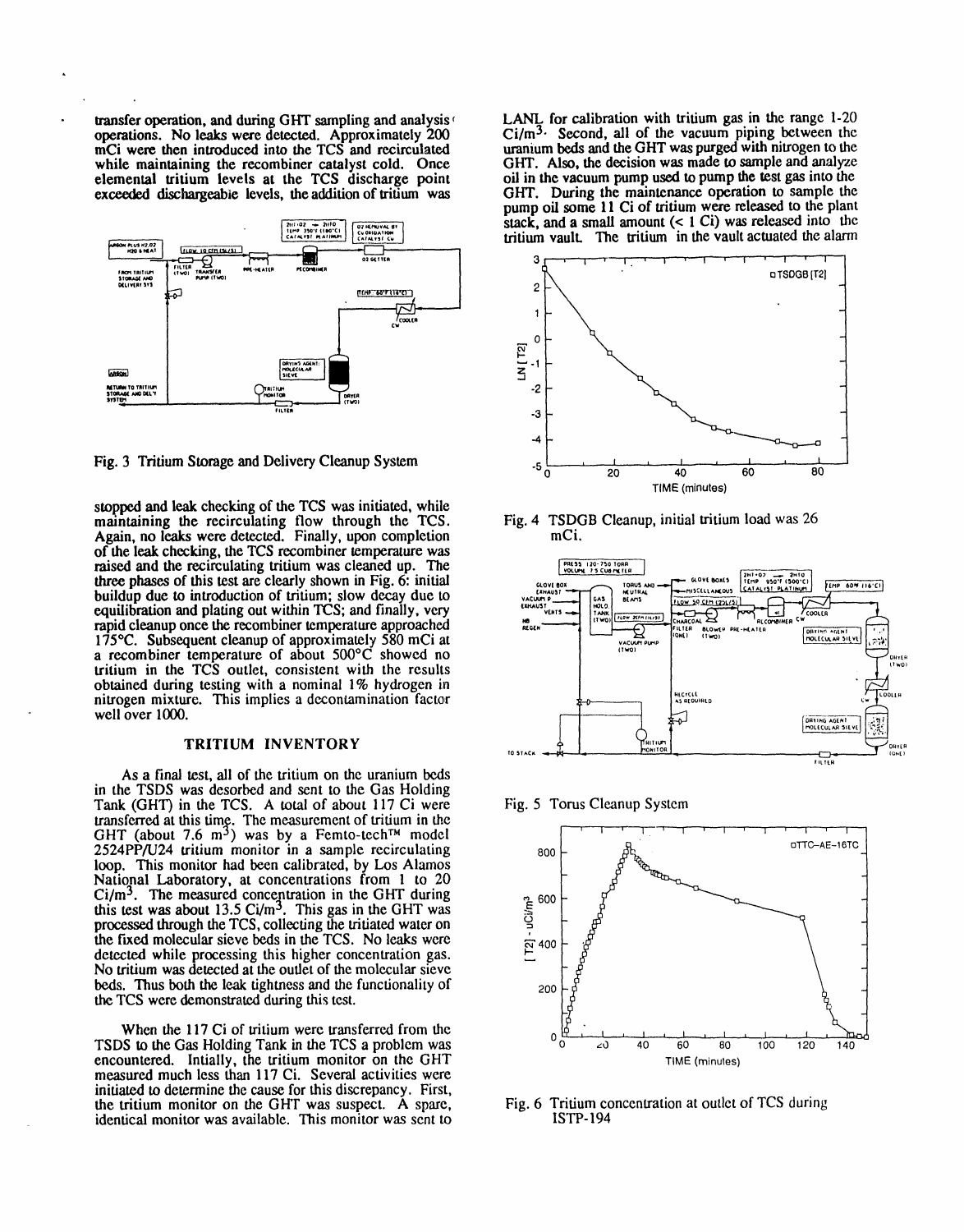transfer operation, and during GHT sampling and analysis ( operations. No leaks were detected. Approximately 200 mCi were then introduced into the TCS and recirculated while maintaining the recombiner catalyst cold. Once elemental tritium levels at the TCS discharge point exceeded dischargeable levels, the addition of tritium was



Fig. 3 Tritium Storage and Delivery Cleanup System

stopped and leak checking of the TCS was initiated, while maintaining the recirculating flow through the TCS. Again, no leaks were detected. Finally, upon completion of the leak checking, the TCS recombiner temperature was raised and the recirculating tritium was cleaned up. The three phases of this test are clearly shown in Fig. 6: initial buildup due to introduction of tritium; slow decay due to equilibration and plating out within TCS; and finally, very rapid cleanup once the recombiner temperature approached 175°C. Subsequent cleanup of approximately 580 mCi at a recombiner temperature of about 500°C showed no tritium in the TCS outlet, consistent with the results obtained during testing with a nominal 1% hydrogen in nitrogen mixture. This implies a decontamination factor well over 1000.

### **TRITIUM INVENTORY**

As a final test, all of the tritium on the uranium beds in the TSDS was desorbed and sent to the Gas Holding Tank (GHT) in the TCS. A total of about 117 Ci were<br>transferred at this time. The measurement of tritium in the<br>GHT (about 7.6 m<sup>3</sup>) was by a Femto-tech<sup>TM</sup> model 2524PP/U24 tritium monitor in a sample recirculating loop. This monitor had been calibrated, by Los Alamos National Laboratory, at concentrations from 1 to 20  $Ci/m^3$ . The measured concentration in the GHT during this test was about 13.5  $Ci/m<sup>3</sup>$ . This gas in the GHT was processed through the TCS, collecting the tritiated water on the fixed molecular sieve beds in the TCS. No leaks were detected while processing this higher concentration gas. No tritium was detected at the outlet of the molecular sieve beds. Thus both the leak tightness and the functionality of the TCS were demonstrated during this test.

When the 117 Ci of tritium were transferred from the TSDS to the Gas Holding Tank in the TCS a problem was encountered. Intially, the tritium monitor on the GHT measured much less than 117 Ci. Several activities were initiated to determine the cause for this discrepancy. First, the tritium monitor on the GHT was suspect. A spare, identical monitor was available. This monitor was sent to LANL for calibration with tritium gas in the range 1-20 Ci/m<sup>3.</sup> Second, all of the vacuum piping between the uranium beds and the GHT was purged with nitrogen to the GHT. Also, the decision was made to sample and analyze oil in the vacuum pump used to pump the test gas into the GHT. During the maintenance operation to sample the pump oil some 11 Ci of tritium were released to the plant stack, and a small amount  $( $1 \text{ Ci}$ )$  was released into the tritium vault. The tritium in the vault actuated the alarm



Fig. 4 TSDGB Cleanup, initial tritium load was 26 mCi.



Fig. 5 Torus Cleanup System



Fig. 6 Tritium concentration at outlet of TCS during **ISTP-194**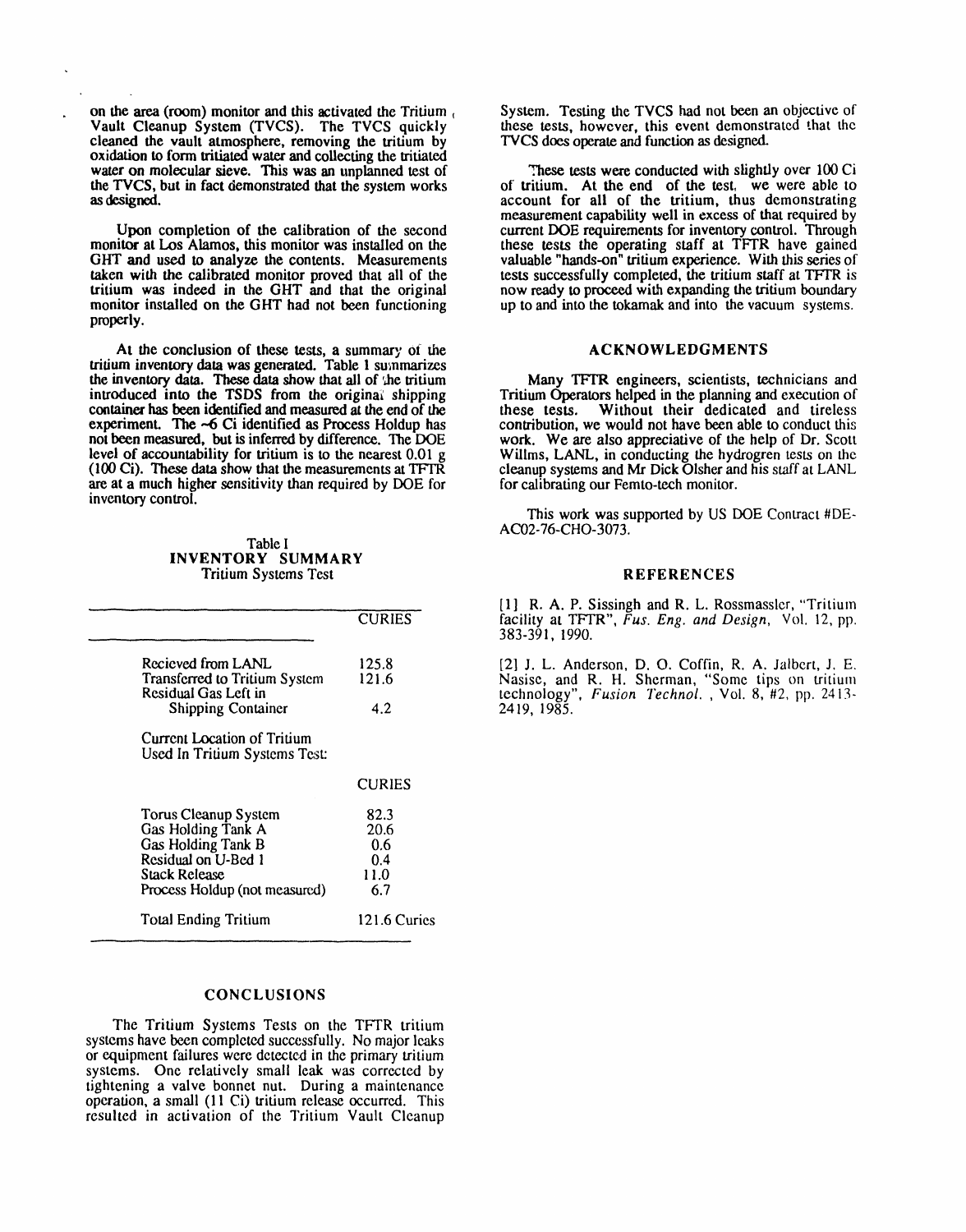**cleaned** the **vault** atmosphere, **removing** the tritium by oxidation to form tritiated water and collecting the tritiated water on molecular sieve. This was an unplanned test of These tests were conducted with slightly over 100 Ci the TVCS, but in fact demonstrated that the system works of tritium. At the end of the test, we were able to the TVCS, but in fact demonstrated that the system works as designed.

monitor at Los Alamos, this monitor was installed on the these tests the operating staff at TFTR have gained GHT and used to analyze the contents. Measurements valuable "hands-on" tritium experience. With this series of taken with the calibrated monitor proved that all of the tests successfully completed, the tritium staff at TFT taken with the **c**alibrat**e**d monitor proved that all of the tests successfully completed, the tritium **s**taff at TFTR is **tritium** was indeed in the GHT and that the original now ready to proceed with expanding the tritium boundary monitor installed on the GHT had not been functioning up to and into the tokamak and into the vacuum systems. p**rop**e**r**l**y.**

At the **conc**l**usion of t**hese tests,**a** s**u**mmar**y** o*f* the **ACKN**O**WLEDGMENTS** triti**u**m **inv**e**n**tory data**wa**s **g**e**n**erated**. Ta**b**l**e **1 su**mmarize**s** the inventory data. These data show that all of *'he* tritium Many TFTR engineers, scientists, technicians and introduced into the TSDS from the original shipping Tritium Operators helped in the planning and execution of introduced into the **TSDS** from the original shipping container has been identified and measured at the end of the experiment. The **-6** Ci identified as Process Holdup has contribution, we would not have been able to conduct this not been measured, but is inferred by difference. The DOE work. We are also appreciative of the help of Dr. not been measured, but is inferred by difference. The *DOE* work. We are also appreciative of the help of Dr. Scott level of accountability for tritium is to the nearest 0.01 g Willms, LANL, in conducting the hydrogren tes level of accountability for tritium is to the nearest 0.01 g (100 Ci). These data show that the measurements at TFTR are at a much higher sensitivity than required by DOE for inventory control.

### Table I INVENTOR**Y** SUMM**A**R**Y Tritium Systems Test REFERENCES**

|                                                              | <b>CURIES</b> |
|--------------------------------------------------------------|---------------|
| Recieved from LANL                                           | 125.8         |
| Transferred to Tritium System<br>Residual Gas Left in        | 121.6         |
| <b>Shipping Container</b>                                    | 4.2           |
| Current Location of Tritium<br>Used In Tritium Systems Test: |               |
|                                                              | <b>CURIES</b> |
| Torus Cleanup System                                         | 82.3          |
| Gas Holding Tank A                                           | 20.6          |
| Gas Holding Tank B                                           | 0.6           |
| Residual on U-Bed 1                                          | 0.4           |
| <b>Stack Release</b>                                         | 11.0          |
| Process Holdup (not measured)                                | 6.7           |
| <b>Total Ending Tritium</b>                                  | 121.6 Curies  |

# **CO**N**C**L**U**SI**ON**S

The **Tritium Systems T**e**sts on t**he T**F**TR **tritium syste**m**s** h**ave** b**e***e***n co**m**ple**t**ed succ**e**ss**f**ully. No ma**j**or l**e**aks** or equipment failures were **d**etected in the primary tritium systems. One relatively small leak was corrected by tightening a valve bonnet nut. During a maintenance tightening a valve bonnet nut. During a maintenance operation, a small (11 Ci) tritium release occurred. This resulted in activation of the **T**ritium Vault Cleanup

**o**n the area (roo**m)** m**o**nitor an**d** this ac**ti**vated the **T**ri**ti**um, S**y**stem**. T**es**ti**ng the **T**VCS had n**o**t been an objec**ti**ve **o**f these tests, however, this event demonstrated that the TVCS does operate and function as designed.

account for all of the *tritium*, thus demonstrating measurement capability well in excess of that required by Upon completion of the calibration of the second current *DOE* requirements for inventory control. Through

**c**ontainering at the end of the end of the end of the end of the conduct this contribution, we would not have been able to conduct this cleanup systems and Mr Dick Olsher and his staff at LANL for calibrating our Femto-tech monitor.

This work was supported by US DOE Contract #DE-AC02-76-CHO-3073.

[1] R. A. P. Sissingh and R. L. Rossmassler, "Tritium facility at TFTR", *Fus. Eng. and Design*, Vol. 12, pp. 383-391, 1990.

Recieved from LA*N*L 125.8 [2] J. L. Anderson, D. O. Coffin, R. A. **J**albert, J. E. **Transferred to Tritium System 121.6 Nasise, and R. H. Sherman, "Some tips on tritium** Residual Gas Left in technology", *Fusion Technol*. , Vol. 8, #2, pp. 2413- 2419, 1985.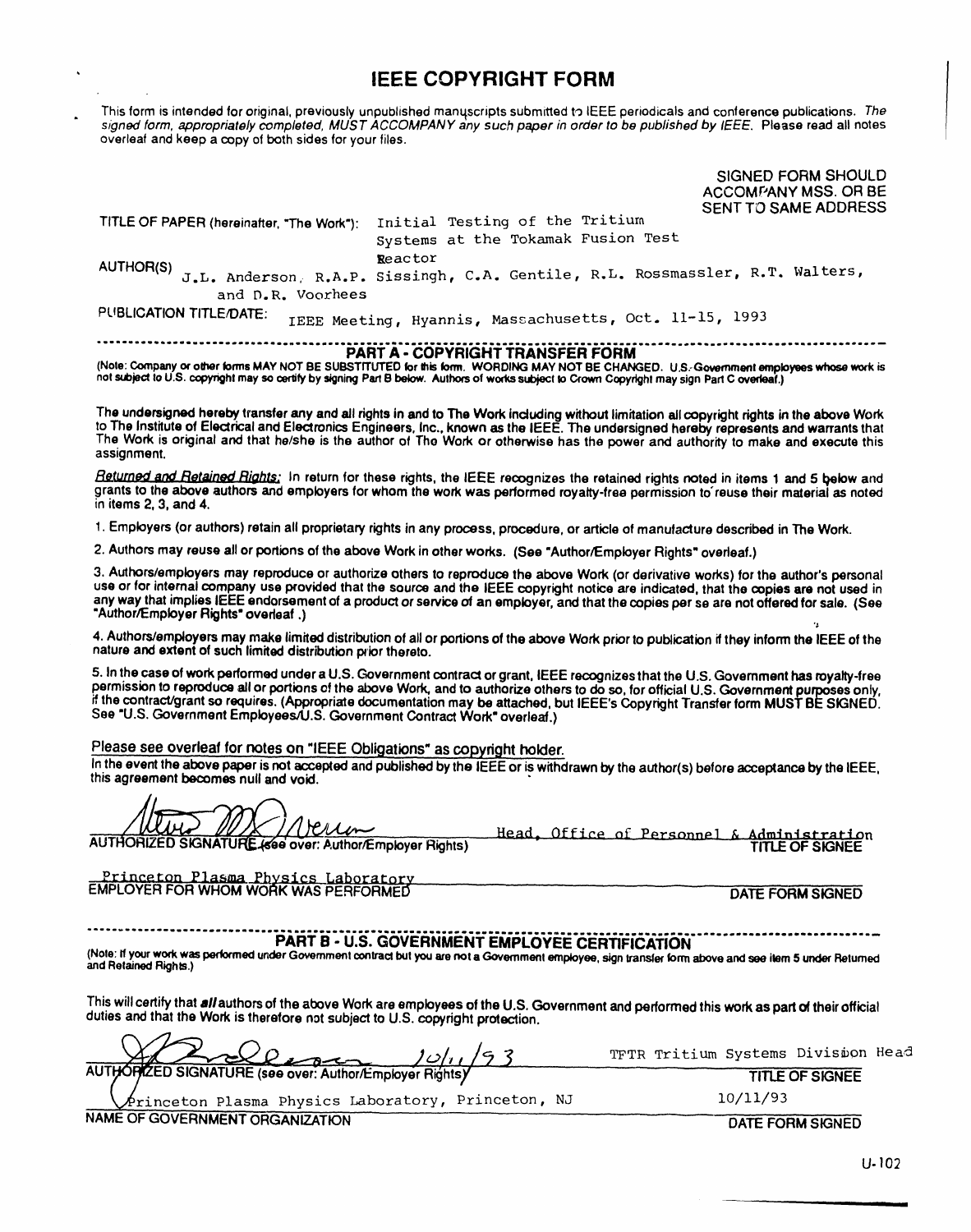# **IEEE COPYRIGHT FORM**

This form is intended for original, previously unpublished manuscripts submitted to IEEE periodicals and conference publications. The signed form, appropriately completed, MUST ACCOMPANY any such paper in order to be published by IEEE. Please read all notes overleaf and keep a copy of both sides for your files.

|                                                                          | ACCOMPANY MSS. OR BE<br>SENT TO SAME ADDRESS                                            |
|--------------------------------------------------------------------------|-----------------------------------------------------------------------------------------|
| TITLE OF PAPER (hereinafter, "The Work"): Initial Testing of the Tritium |                                                                                         |
|                                                                          | Systems at the Tokamak Fusion Test                                                      |
|                                                                          | Reactor                                                                                 |
|                                                                          | AUTHOR(S) J.L. Anderson, R.A.P. Sissingh, C.A. Gentile, R.L. Rossmassler, R.T. Walters, |
| and D.R. Voorhees                                                        |                                                                                         |
| PUBLICATION TITLE/DATE:                                                  | IEEE Meeting, Hyannis, Massachusetts, Oct. 11-15, 1993                                  |

## PART A - COPYRIGHT TRANSFER FORM

(Note: Company or other forms MAY NOT BE SUBSTITUTED for this form. WORDING MAY NOT BE CHANGED. U.S. Government employees whose work is not subject to U.S. copyright may so certify by signing Part B below. Authors of works subject to Crown Copyright may sign Part C overleaf.)

The undersigned hereby transfer any and all rights in and to The Work including without limitation all copyright rights in the above Work to The Institute of Electrical and Electronics Engineers, Inc., known as the IEEE. T The Work is original and that he/she is the author of The Work or otherwise has the power and authority to make and execute this assignment.

Returned and Retained Rights: In return for these rights, the IEEE recognizes the retained rights noted in items 1 and 5 below and grants to the above authors and employers for whom the work was performed royalty-free permission to reuse their material as noted in items 2, 3, and 4.

1. Employers (or authors) retain all proprietary rights in any process, procedure, or article of manufacture described in The Work.

2. Authors may reuse all or portions of the above Work in other works. (See "Author/Employer Rights" overleaf.)

3. Authors/employers may reproduce or authorize others to reproduce the above Work (or derivative works) for the author's personal use or for internal company use provided that the source and the IEEE copyright notice are indicated, that the copies are not used in any way that implies IEEE endorsement of a product or service of an employer, and that the copies per se are not offered for sale. (See "Author/Employer Rights" overleaf .)

4. Authors/employers may make limited distribution of all or portions of the above Work prior to publication if they inform the IEEE of the nature and extent of such limited distribution prior thereto.

5. In the case of work performed under a U.S. Government contract or grant, IEEE recognizes that the U.S. Government has royalty-free permission to reproduce all or portions of the above Work, and to authorize others to do so, for official U.S. Government purposes only, if the contract/grant so requires. (Appropriate documentation may be attached, but IEEE's Copyright Transfer form MUST BE SIGNED.<br>See "U.S. Government Employees/U.S. Government Contract Work" overleaf.)

# Please see overleaf for notes on "IEEE Obligations" as copyright holder.

In the event the above paper is not accepted and published by the IEEE or is withdrawn by the author(s) before acceptance by the IEEE, this agreement becomes null and void.

|  |  | AUTHORIZED SKINATURE (600 over: Author/Employer Rights) |  |
|--|--|---------------------------------------------------------|--|
|  |  |                                                         |  |

 $\mathbf{r}$ .

 $\sqrt{ }$ 

Head, Office of Personnel & Administration<br>TITLE OF SIGNEE

SIGNED FORM SHOULD

Princeton Plasma Physics Laboratory<br>EMPLOYER FOR WHOM WORK WAS PERFORMED

PART B - U.S. GOVERNMENT EMPLOYEE CERTIFICATION

(Note: if your work was performed under Government contract but you are not a Government employee, sign transfer form above and see item 5 under Returned and Retained Rights.)

This will certify that all authors of the above Work are employees of the U.S. Government and performed this work as part of their official duties and that the Work is therefore not subject to U.S. copyright protection.

| John / 9 3                                                 | TFTR Tritium Systems Division Head |
|------------------------------------------------------------|------------------------------------|
|                                                            | TITLE OF SIGNEE                    |
| <i>Arinceton Plasma Physics Laboratory</i> , Princeton, NJ | 10/11/93                           |
| NAME OF GOVERNMENT ORGANIZATION                            | DATE FORM SIGNED                   |

**DATE FORM SIGNED**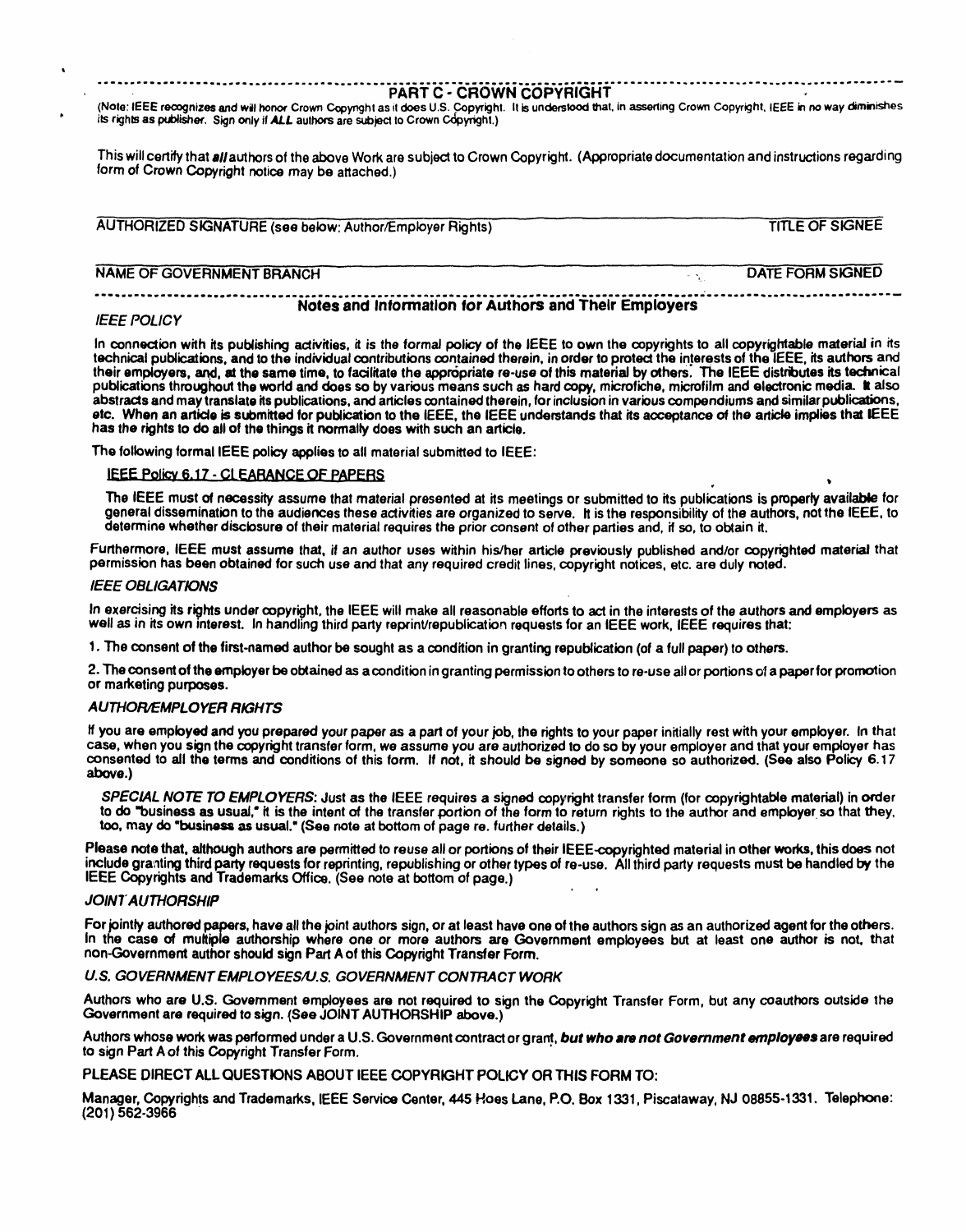### PART C - CROWN COPYRIGHT

(Note: IEEE recognizes and will honor Crown Copyright as it does U.S. Copyright. It is understood that, in asserting Crown Copyright, IEEE in no way diminishes its rights as publisher. Sign only if ALL authors are subject to Crown Copyright.)

This will certify that all authors of the above Work are subject to Crown Copyright. (Appropriate documentation and instructions regarding form of Crown Copyright notice may be attached.)

| AUTHORIZED SIGNATURE (see below: Author/Employer Rights) | <b>TITLE OF SIGNEE</b> |
|----------------------------------------------------------|------------------------|
|                                                          |                        |

### **NAME OF GOVERNMENT BRANCH**

------------------------------

### **DATE FORM SIGNED**

 $\sim 10^{-1}$ 

### Notes and Information for Authors and Their Employers

### **IEEE POLICY**

In connection with its publishing activities, it is the formal policy of the IEEE to own the copyrights to all copyrightable material in its technical publications, and to the individual contributions contained therein, in order to protect the interests of the IEEE, its authors and their employers, and, at the same time, to facilitate the appropriate re-use of this material by others. The IEEE distributes its technical publications throughout the world and does so by various means such as hard copy, microfiche, microfilm and electronic media. It also abstracts and may translate its publications, and articles contained therein, for inclusion in various compendiums and similar publications, etc. When an article is submitted for publication to the IEEE, the IEEE understands that its acceptance of the article implies that IEEE has the rights to do all of the things it normally does with such an article.

The following formal IEEE policy applies to all material submitted to IEEE:

# IEEE Policy 6.17 - CLEARANCE OF PAPERS

The IEEE must of necessity assume that material presented at its meetings or submitted to its publications is properly available for general dissemination to the audiences these activities are organized to serve. It is the responsibility of the authors, not the IEEE, to determine whether disclosure of their material requires the prior consent of other parties and, if so, to obtain it.

Furthermore, IEEE must assume that, if an author uses within his/her article previously published and/or copyrighted material that permission has been obtained for such use and that any required credit lines, copyright notices, etc. are duly noted.

### **IEEE OBLIGATIONS**

In exercising its rights under copyright, the IEEE will make all reasonable efforts to act in the interests of the authors and employers as well as in its own interest. In handling third party reprint/republication requests for an IEEE work, IEEE requires that:

1. The consent of the first-named author be sought as a condition in granting republication (of a full paper) to others.

2. The consent of the employer be obtained as a condition in granting permission to others to re-use all or portions of a paper for promotion or marketing purposes.

### **AUTHOR/EMPLOYER RIGHTS**

If you are employed and you prepared your paper as a part of your job, the rights to your paper initially rest with your employer. In that case, when you sign the copyright transfer form, we assume you are authorized to do so by your employer and that your employer has consented to all the terms and conditions of this form. If not, it should be signed by someone so authorized. (See also Policy 6.17 above.)

SPECIAL NOTE TO EMPLOYERS: Just as the IEEE requires a signed copyright transfer form (for copyrightable material) in order to do "business as usual," it is the intent of the transfer portion of the form to return rights to the author and employer so that they, too, may do "business as usual." (See note at bottom of page re. further details.)

Please note that, although authors are permitted to reuse all or portions of their IEEE-copyrighted material in other works, this does not include granting third party requests for reprinting, republishing or other types of re-use. All third party requests must be handled by the IEEE Copyrights and Trademarks Office. (See note at bottom of page.)

# **JOINT AUTHORSHIP**

For jointly authored papers, have all the joint authors sign, or at least have one of the authors sign as an authorized agent for the others. In the case of multiple authorship where one or more authors are Government employees but at least one author is not, that non-Government author should sign Part A of this Copyright Transfer Form.

### U.S. GOVERNMENT EMPLOYEES/U.S. GOVERNMENT CONTRACT WORK

Authors who are U.S. Government employees are not required to sign the Copyright Transfer Form, but any coauthors outside the Government are required to sign. (See JOINT AUTHORSHIP above.)

Authors whose work was performed under a U.S. Government contract or grant, but who are not Government employees are required to sign Part A of this Copyright Transfer Form.

# PLEASE DIRECT ALL QUESTIONS ABOUT IEEE COPYRIGHT POLICY OR THIS FORM TO:

Manager, Copyrights and Trademarks, IEEE Service Center, 445 Hoes Lane, P.O. Box 1331, Piscataway, NJ 08855-1331. Telephone:  $(201) 562 - 3966$